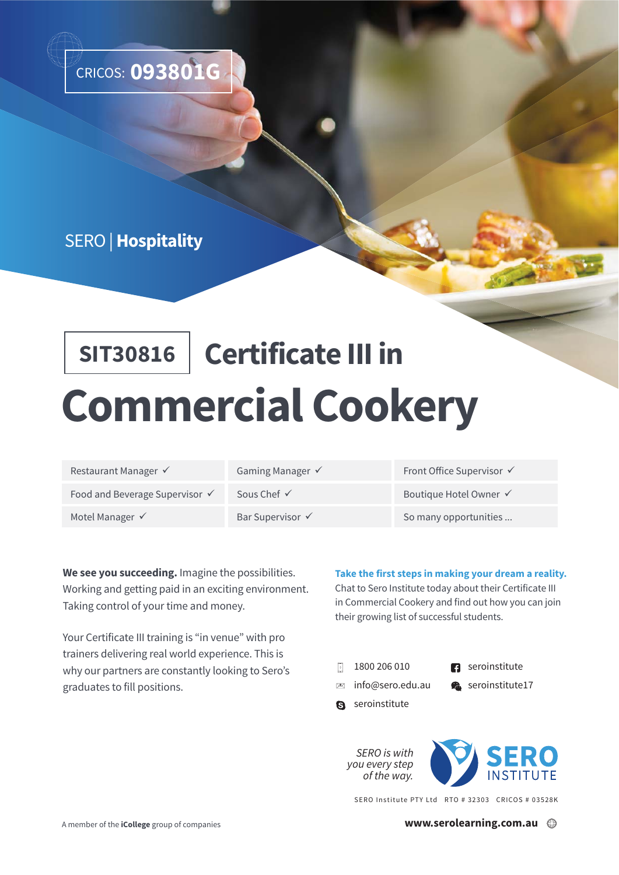

## SERO | **Hospitality**

# **SIT30816 Certificate III in Commercial Cookery**

| Restaurant Manager ✔       |
|----------------------------|
| Food and Beverage Supervis |
| Motel Manager $\checkmark$ |

Gaming Manager  $\checkmark$ 

Bar Supervisor  $\checkmark$ 

Front Office Supervisor  $\checkmark$ 

For  $\checkmark$  and Sous Chef  $\checkmark$  Boutique Hotel Owner  $\checkmark$ 

So many opportunities ...

**We see you succeeding.** Imagine the possibilities. Working and getting paid in an exciting environment. Taking control of your time and money.

Your Certificate III training is "in venue" with pro trainers delivering real world experience. This is why our partners are constantly looking to Sero's graduates to fill positions.

## **Take the first steps in making your dream a reality.**

Chat to Sero Institute today about their Certificate III in Commercial Cookery and find out how you can join their growing list of successful students.

- 1800 206 010
- **R** seroinstitute
- info@sero.edu.au
- Seroinstitute17
- 
- **a** seroinstitute



SERO Institute PTY Ltd RTO # 32303 CRICOS # 03528K

**www.serolearning.com.au**